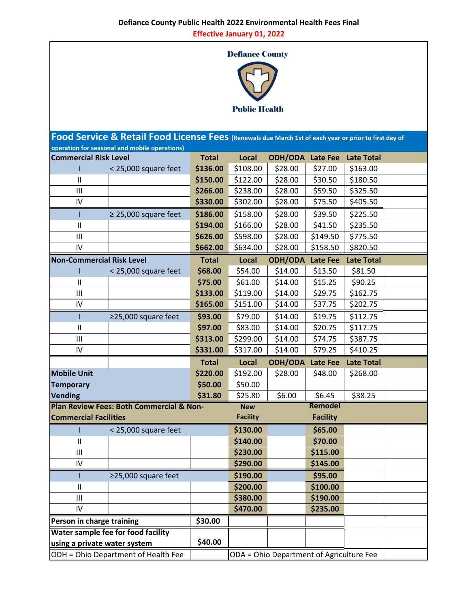**Effective January 01, 2022**

## **Defiance County**



**Total Local ODH/ODA Late Fee Late Total** I < 25,000 square feet **\$136.00** \$108.00 \$28.00 \$27.00 \$163.00 II **\$150.00** \$122.00 \$28.00 \$30.50 \$180.50 III **\$266.00** \$238.00 \$28.00 \$59.50 \$325.50 IV **\$330.00** \$302.00 \$28.00 \$75.50 \$405.50 I ≥ 25,000 square feet **\$186.00** \$158.00 \$28.00 \$39.50 \$225.50 II **\$194.00** \$166.00 \$28.00 \$41.50 \$235.50 III **\$626.00** \$598.00 \$28.00 \$149.50 \$775.50 IV **\$662.00** \$634.00 \$28.00 \$158.50 \$820.50 **Total Local ODH/ODA Late Fee Late Total** I < 25,000 square feet **\$68.00** \$54.00 \$14.00 \$13.50 \$81.50 II **\$75.00** \$61.00 \$14.00 \$15.25 \$90.25 III **\$133.00** \$119.00 \$14.00 \$29.75 \$162.75 IV **\$165.00** \$151.00 \$14.00 \$37.75 \$202.75 I ≥25,000 square feet **\$93.00** \$79.00 \$14.00 \$19.75 \$112.75 II **\$97.00** \$83.00 \$14.00 \$20.75 \$117.75 III **\$313.00** \$299.00 \$14.00 \$74.75 \$387.75 IV **\$331.00** \$317.00 \$14.00 \$79.25 \$410.25 **Total Local ODH/ODA Late Fee Late Total Mobile Unit** <mark>\$220.00</mark> \$192.00 | \$28.00 | \$48.00 | \$268.00 **Temporary 1988 \$50.00** \$50.00 **Vending \$31.80** \$25.80 \$6.00 \$6.45 \$38.25 **New Facility Remodel Facility** I < 25,000 square feet **\$130.00 \$65.00** II **\$140.00 \$70.00** III **\$230.00 \$115.00** IV **\$290.00 \$145.00** I ≥25,000 square feet **\$190.00 \$95.00** II **\$200.00 \$100.00** III **\$380.00 \$190.00** IV **\$470.00 \$235.00 Person in charge training The S30.00 \$40.00 Food Service & Retail Food License Fees (Renewals due March 1st of each year or prior to first day of operation for seasonal and mobile operations) Commercial Risk Level Plan Review Fees: Both Commercial & Non-Commercial Facilities Non-Commercial Risk Level Water sample fee for food facility using a private water system** 

ODH = Ohio Department of Health Fee  $\vert$  ODA = Ohio Department of Agriculture Fee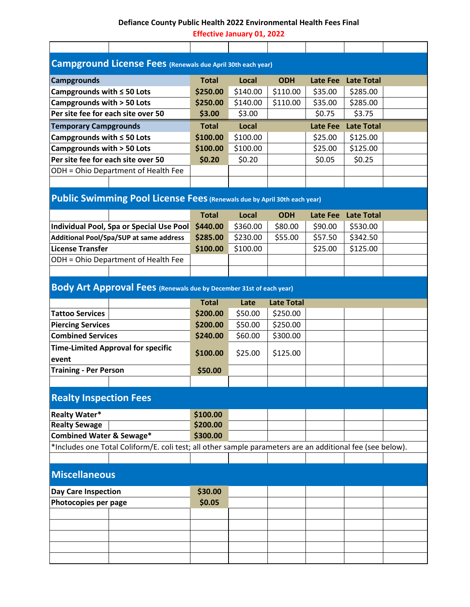## **Defiance County Public Health 2022 Environmental Health Fees Final**

**Effective January 01, 2022**

| Campground License Fees (Renewals due April 30th each year)                                                                                                  |              |          |                   |                 |                   |  |  |  |
|--------------------------------------------------------------------------------------------------------------------------------------------------------------|--------------|----------|-------------------|-----------------|-------------------|--|--|--|
| <b>Campgrounds</b>                                                                                                                                           | <b>Total</b> | Local    | <b>ODH</b>        | <b>Late Fee</b> | <b>Late Total</b> |  |  |  |
| Campgrounds with $\leq$ 50 Lots                                                                                                                              | \$250.00     | \$140.00 | \$110.00          | \$35.00         | \$285.00          |  |  |  |
| Campgrounds with > 50 Lots                                                                                                                                   | \$250.00     | \$140.00 | \$110.00          | \$35.00         | \$285.00          |  |  |  |
| Per site fee for each site over 50                                                                                                                           | \$3.00       | \$3.00   |                   | \$0.75          | \$3.75            |  |  |  |
| <b>Temporary Campgrounds</b>                                                                                                                                 | <b>Total</b> | Local    |                   | Late Fee        | <b>Late Total</b> |  |  |  |
| Campgrounds with $\leq$ 50 Lots                                                                                                                              | \$100.00     | \$100.00 |                   | \$25.00         | \$125.00          |  |  |  |
| Campgrounds with > 50 Lots                                                                                                                                   | \$100.00     | \$100.00 |                   | \$25.00         | \$125.00          |  |  |  |
| Per site fee for each site over 50                                                                                                                           | \$0.20       | \$0.20   |                   | \$0.05          | \$0.25            |  |  |  |
| ODH = Ohio Department of Health Fee                                                                                                                          |              |          |                   |                 |                   |  |  |  |
|                                                                                                                                                              |              |          |                   |                 |                   |  |  |  |
|                                                                                                                                                              |              |          |                   |                 |                   |  |  |  |
| Public Swimming Pool License Fees (Renewals due by April 30th each year)                                                                                     |              |          |                   |                 |                   |  |  |  |
|                                                                                                                                                              | <b>Total</b> | Local    | <b>ODH</b>        | <b>Late Fee</b> | <b>Late Total</b> |  |  |  |
| Individual Pool, Spa or Special Use Pool                                                                                                                     | \$440.00     | \$360.00 | \$80.00           | \$90.00         | \$530.00          |  |  |  |
| <b>Additional Pool/Spa/SUP at same address</b>                                                                                                               | \$285.00     | \$230.00 | \$55.00           | \$57.50         | \$342.50          |  |  |  |
| <b>License Transfer</b>                                                                                                                                      | \$100.00     | \$100.00 |                   | \$25.00         | \$125.00          |  |  |  |
| ODH = Ohio Department of Health Fee                                                                                                                          |              |          |                   |                 |                   |  |  |  |
|                                                                                                                                                              |              |          |                   |                 |                   |  |  |  |
| Body Art Approval Fees (Renewals due by December 31st of each year)                                                                                          |              |          |                   |                 |                   |  |  |  |
|                                                                                                                                                              | <b>Total</b> | Late     | <b>Late Total</b> |                 |                   |  |  |  |
| <b>Tattoo Services</b>                                                                                                                                       | \$200.00     | \$50.00  | \$250.00          |                 |                   |  |  |  |
| <b>Piercing Services</b>                                                                                                                                     | \$200.00     | \$50.00  | \$250.00          |                 |                   |  |  |  |
| <b>Combined Services</b>                                                                                                                                     | \$240.00     | \$60.00  | \$300.00          |                 |                   |  |  |  |
| <b>Time-Limited Approval for specific</b>                                                                                                                    |              |          |                   |                 |                   |  |  |  |
| event                                                                                                                                                        | \$100.00     | \$25.00  | \$125.00          |                 |                   |  |  |  |
| <b>Training - Per Person</b>                                                                                                                                 | \$50.00      |          |                   |                 |                   |  |  |  |
|                                                                                                                                                              |              |          |                   |                 |                   |  |  |  |
| <b>Realty Inspection Fees</b>                                                                                                                                |              |          |                   |                 |                   |  |  |  |
|                                                                                                                                                              |              |          |                   |                 |                   |  |  |  |
| <b>Realty Water*</b>                                                                                                                                         | \$100.00     |          |                   |                 |                   |  |  |  |
| <b>Realty Sewage</b>                                                                                                                                         | \$200.00     |          |                   |                 |                   |  |  |  |
| <b>Combined Water &amp; Sewage*</b><br>\$300.00<br>*Includes one Total Coliform/E. coli test; all other sample parameters are an additional fee (see below). |              |          |                   |                 |                   |  |  |  |
|                                                                                                                                                              |              |          |                   |                 |                   |  |  |  |
|                                                                                                                                                              |              |          |                   |                 |                   |  |  |  |
| <b>Miscellaneous</b>                                                                                                                                         |              |          |                   |                 |                   |  |  |  |
| <b>Day Care Inspection</b>                                                                                                                                   | \$30.00      |          |                   |                 |                   |  |  |  |
| Photocopies per page                                                                                                                                         | \$0.05       |          |                   |                 |                   |  |  |  |
|                                                                                                                                                              |              |          |                   |                 |                   |  |  |  |
|                                                                                                                                                              |              |          |                   |                 |                   |  |  |  |
|                                                                                                                                                              |              |          |                   |                 |                   |  |  |  |
|                                                                                                                                                              |              |          |                   |                 |                   |  |  |  |
|                                                                                                                                                              |              |          |                   |                 |                   |  |  |  |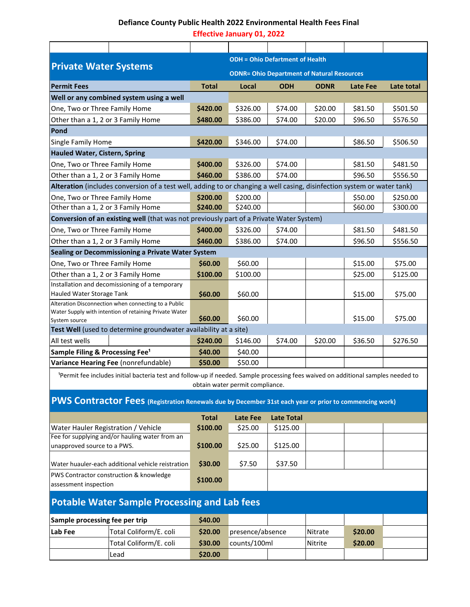## **Defiance County Public Health 2022 Environmental Health Fees Final**

**Effective January 01, 2022**

|                                                                                                                                                                                  |                                                                                                                         |              | <b>ODH = Ohio Defartment of Health</b>            |                   |             |          |            |  |  |
|----------------------------------------------------------------------------------------------------------------------------------------------------------------------------------|-------------------------------------------------------------------------------------------------------------------------|--------------|---------------------------------------------------|-------------------|-------------|----------|------------|--|--|
| <b>Private Water Systems</b>                                                                                                                                                     |                                                                                                                         |              | <b>ODNR= Ohio Department of Natural Resources</b> |                   |             |          |            |  |  |
| <b>Permit Fees</b>                                                                                                                                                               |                                                                                                                         | <b>Total</b> | Local                                             | <b>ODH</b>        | <b>ODNR</b> | Late Fee | Late total |  |  |
|                                                                                                                                                                                  | Well or any combined system using a well                                                                                |              |                                                   |                   |             |          |            |  |  |
| One, Two or Three Family Home                                                                                                                                                    |                                                                                                                         | \$420.00     | \$326.00                                          | \$74.00           | \$20.00     | \$81.50  | \$501.50   |  |  |
|                                                                                                                                                                                  | Other than a 1, 2 or 3 Family Home                                                                                      | \$480.00     | \$386.00                                          | \$74.00           | \$20.00     | \$96.50  | \$576.50   |  |  |
| Pond                                                                                                                                                                             |                                                                                                                         |              |                                                   |                   |             |          |            |  |  |
| Single Family Home                                                                                                                                                               |                                                                                                                         | \$420.00     | \$346.00                                          | \$74.00           |             | \$86.50  | \$506.50   |  |  |
| <b>Hauled Water, Cistern, Spring</b>                                                                                                                                             |                                                                                                                         |              |                                                   |                   |             |          |            |  |  |
| One, Two or Three Family Home                                                                                                                                                    |                                                                                                                         | \$400.00     | \$326.00                                          | \$74.00           |             | \$81.50  | \$481.50   |  |  |
|                                                                                                                                                                                  | Other than a 1, 2 or 3 Family Home                                                                                      | \$460.00     | \$386.00                                          | \$74.00           |             | \$96.50  | \$556.50   |  |  |
|                                                                                                                                                                                  | Alteration (includes conversion of a test well, adding to or changing a well casing, disinfection system or water tank) |              |                                                   |                   |             |          |            |  |  |
| One, Two or Three Family Home                                                                                                                                                    |                                                                                                                         | \$200.00     | \$200.00                                          |                   |             | \$50.00  | \$250.00   |  |  |
|                                                                                                                                                                                  | Other than a 1, 2 or 3 Family Home                                                                                      | \$240.00     | \$240.00                                          |                   |             | \$60.00  | \$300.00   |  |  |
|                                                                                                                                                                                  | Conversion of an existing well (that was not previously part of a Private Water System)                                 |              |                                                   |                   |             |          |            |  |  |
| One, Two or Three Family Home                                                                                                                                                    |                                                                                                                         | \$400.00     | \$326.00                                          | \$74.00           |             | \$81.50  | \$481.50   |  |  |
|                                                                                                                                                                                  | Other than a 1, 2 or 3 Family Home                                                                                      | \$460.00     | \$386.00                                          | \$74.00           |             | \$96.50  | \$556.50   |  |  |
|                                                                                                                                                                                  | Sealing or Decommissioning a Private Water System                                                                       |              |                                                   |                   |             |          |            |  |  |
| One, Two or Three Family Home                                                                                                                                                    |                                                                                                                         | \$60.00      | \$60.00                                           |                   |             | \$15.00  | \$75.00    |  |  |
|                                                                                                                                                                                  | Other than a 1, 2 or 3 Family Home                                                                                      | \$100.00     | \$100.00                                          |                   |             | \$25.00  | \$125.00   |  |  |
| Hauled Water Storage Tank                                                                                                                                                        | Installation and decomissioning of a temporary                                                                          | \$60.00      | \$60.00                                           |                   |             | \$15.00  | \$75.00    |  |  |
|                                                                                                                                                                                  | Alteration Disconnection when connecting to a Public<br>Water Supply with intention of retaining Private Water          |              |                                                   |                   |             |          |            |  |  |
| System source                                                                                                                                                                    |                                                                                                                         | \$60.00      | \$60.00                                           |                   |             | \$15.00  | \$75.00    |  |  |
|                                                                                                                                                                                  | Test Well (used to determine groundwater availability at a site)                                                        |              |                                                   |                   |             |          |            |  |  |
| All test wells                                                                                                                                                                   |                                                                                                                         | \$240.00     | \$146.00                                          | \$74.00           | \$20.00     | \$36.50  | \$276.50   |  |  |
| Sample Filing & Processing Fee <sup>1</sup>                                                                                                                                      |                                                                                                                         | \$40.00      | \$40.00                                           |                   |             |          |            |  |  |
| Variance Hearing Fee (nonrefundable)                                                                                                                                             |                                                                                                                         | \$50.00      | \$50.00                                           |                   |             |          |            |  |  |
| <sup>1</sup> Permit fee includes initial bacteria test and follow-up if needed. Sample processing fees waived on additional samples needed to<br>obtain water permit compliance. |                                                                                                                         |              |                                                   |                   |             |          |            |  |  |
|                                                                                                                                                                                  |                                                                                                                         |              |                                                   |                   |             |          |            |  |  |
|                                                                                                                                                                                  | <b>PWS CONTRACTOR FEES</b> (Registration Renewals due by December 31st each year or prior to commencing work)           |              |                                                   |                   |             |          |            |  |  |
|                                                                                                                                                                                  |                                                                                                                         | <b>Total</b> | <b>Late Fee</b>                                   | <b>Late Total</b> |             |          |            |  |  |
|                                                                                                                                                                                  | Water Hauler Registration / Vehicle                                                                                     | \$100.00     | \$25.00                                           | \$125.00          |             |          |            |  |  |
| unapproved source to a PWS.                                                                                                                                                      | Fee for supplying and/or hauling water from an                                                                          | \$100.00     | \$25.00                                           | \$125.00          |             |          |            |  |  |
|                                                                                                                                                                                  | Water huauler-each additional vehicle reistration                                                                       | \$30.00      | \$7.50                                            | \$37.50           |             |          |            |  |  |
| PWS Contractor construction & knowledge<br>assessment inspection                                                                                                                 |                                                                                                                         | \$100.00     |                                                   |                   |             |          |            |  |  |
| <b>Potable Water Sample Processing and Lab fees</b>                                                                                                                              |                                                                                                                         |              |                                                   |                   |             |          |            |  |  |
| Sample processing fee per trip                                                                                                                                                   |                                                                                                                         | \$40.00      |                                                   |                   |             |          |            |  |  |
| Lab Fee                                                                                                                                                                          | Total Coliform/E. coli                                                                                                  | \$20.00      | presence/absence                                  |                   | Nitrate     | \$20.00  |            |  |  |
| Total Coliform/E. coli                                                                                                                                                           |                                                                                                                         | \$30.00      | counts/100ml                                      |                   | Nitrite     | \$20.00  |            |  |  |
|                                                                                                                                                                                  | Lead                                                                                                                    | \$20.00      |                                                   |                   |             |          |            |  |  |
|                                                                                                                                                                                  |                                                                                                                         |              |                                                   |                   |             |          |            |  |  |